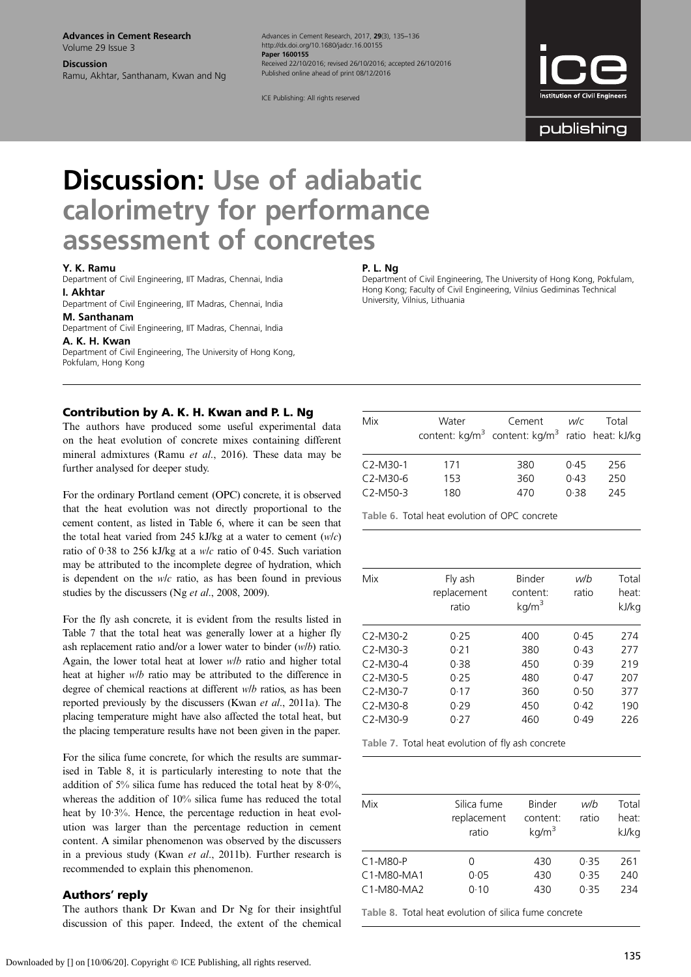Advances in Cement Research Volume 29 Issue 3

Discussion Ramu, Akhtar, Santhanam, Kwan and Ng Advances in Cement Research, 2017, 29(3), 135*–*136 http://dx.doi.org/10.1680/jadcr.16.00155 Paper 1600155 Received 22/10/2016; revised 26/10/2016; accepted 26/10/2016 Published online ahead of print 08/12/2016

ICE Publishing: All rights reserved

publishing

# Discussion: Use of adiabatic calorimetry for performance assessment of concretes

#### Y. K. Ramu

Department of Civil Engineering, IIT Madras, Chennai, India I. Akhtar

Department of Civil Engineering, IIT Madras, Chennai, India M. Santhanam

Department of Civil Engineering, IIT Madras, Chennai, India

A. K. H. Kwan Department of Civil Engineering, The University of Hong Kong, Pokfulam, Hong Kong

### P. L. Ng

Department of Civil Engineering, The University of Hong Kong, Pokfulam, Hong Kong; Faculty of Civil Engineering, Vilnius Gediminas Technical University, Vilnius, Lithuania

# Contribution by A. K. H. Kwan and P. L. Ng

The authors have produced some useful experimental data on the heat evolution of concrete mixes containing different mineral admixtures (Ramu et al[., 2016](#page-1-0)). These data may be further analysed for deeper study.

For the ordinary Portland cement (OPC) concrete, it is observed that the heat evolution was not directly proportional to the cement content, as listed in Table 6, where it can be seen that the total heat varied from 245 kJ/kg at a water to cement  $(w/c)$ ratio of 0·38 to 256 kJ/kg at a w/c ratio of 0·45. Such variation may be attributed to the incomplete degree of hydration, which is dependent on the w/c ratio, as has been found in previous studies by the discussers (Ng et al[., 2008](#page-1-0), [2009](#page-1-0)).

For the fly ash concrete, it is evident from the results listed in Table 7 that the total heat was generally lower at a higher fly ash replacement ratio and/or a lower water to binder (w/b) ratio. Again, the lower total heat at lower w/b ratio and higher total heat at higher w/b ratio may be attributed to the difference in degree of chemical reactions at different w/b ratios, as has been reported previously by the discussers (Kwan et al[., 2011a\)](#page-1-0). The placing temperature might have also affected the total heat, but the placing temperature results have not been given in the paper.

For the silica fume concrete, for which the results are summarised in Table 8, it is particularly interesting to note that the addition of 5% silica fume has reduced the total heat by  $8.0\%$ , whereas the addition of 10% silica fume has reduced the total heat by 10·3%. Hence, the percentage reduction in heat evolution was larger than the percentage reduction in cement content. A similar phenomenon was observed by the discussers in a previous study (Kwan et al[., 2011b](#page-1-0)). Further research is recommended to explain this phenomenon.

## Authors*'* reply

The authors thank Dr Kwan and Dr Ng for their insightful discussion of this paper. Indeed, the extent of the chemical

| Mix        | Water | Cement<br>content: kg/m <sup>3</sup> content: kg/m <sup>3</sup> ratio heat: kJ/kg | wlc  | Total |
|------------|-------|-----------------------------------------------------------------------------------|------|-------|
| $C2-M30-1$ | 171   | 380                                                                               | 0.45 | 256   |
| $C2-M30-6$ | 153   | 360                                                                               | 0.43 | 250   |
| $C2-M50-3$ | 180   | 470                                                                               | 0.38 | 245   |

Table 6. Total heat evolution of OPC concrete

| Mix        | Fly ash<br>replacement<br>ratio | Binder<br>content:<br>kg/m <sup>3</sup> | w/b<br>ratio | Total<br>heat:<br>kJ/kg |
|------------|---------------------------------|-----------------------------------------|--------------|-------------------------|
| $C2-M30-2$ | 0.25                            | 400                                     | 0.45         | 274                     |
| $C2-M30-3$ | 0.21                            | 380                                     | 0.43         | 277                     |
| $C2-M30-4$ | 0.38                            | 450                                     | 0.39         | 219                     |
| $C2-M30-5$ | 0.25                            | 480                                     | 0.47         | 207                     |
| $C2-M30-7$ | 0.17                            | 360                                     | 0.50         | 377                     |
| $C2-M30-8$ | 0.29                            | 450                                     | 0.42         | 190                     |
| $C2-M30-9$ | 0.27                            | 460                                     | 0.49         | 226                     |
|            |                                 |                                         |              |                         |

Table 7. Total heat evolution of fly ash concrete

| Mix        | Silica fume<br>replacement<br>ratio | Binder<br>content:<br>kg/m <sup>3</sup> | w/b<br>ratio | Total<br>heat:<br>kJ/kg |
|------------|-------------------------------------|-----------------------------------------|--------------|-------------------------|
| $C1-M80-P$ | O)                                  | 430                                     | 0.35         | 261                     |
| C1-M80-MA1 | 0.05                                | 430                                     | 0.35         | 240                     |
| C1-M80-MA2 | 0.10                                | 430                                     | 0.35         | 234                     |

Table 8. Total heat evolution of silica fume concrete